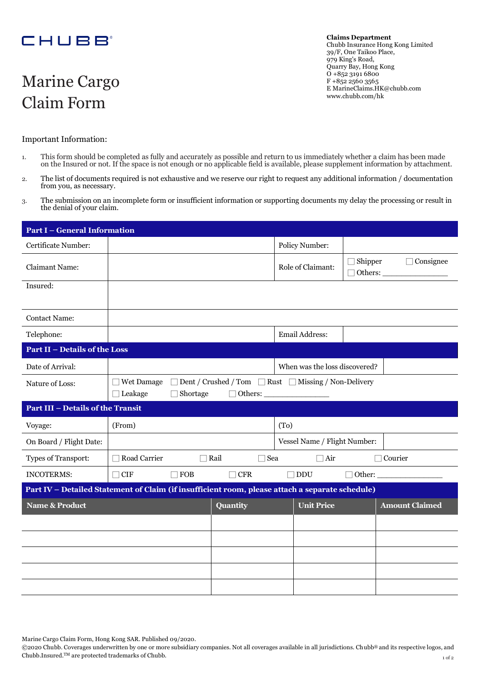## **CHUBB**

# Marine Cargo Claim Form

**Claims Department**  Chubb Insurance Hong Kong Limited 39/F, One Taikoo Place, 979 King's Road, Quarry Bay, Hong Kong O +852 3191 6800 F +852 2560 3565 [E MarineClaims.HK@chubb.com](mailto:MarineClaims.HK@chubb.com) [www.chubb.com/hk](http://www.chubb.com/hk)

#### Important Information:

- 1. This form should be completed as fully and accurately as possible and return to us immediately whether a claim has been made on the Insured or not. If the space is not enough or no applicable field is available, please supplement information by attachment.
- 2. The list of documents required is not exhaustive and we reserve our right to request any additional information / documentation from you, as necessary.
- 3. The submission on an incomplete form or insufficient information or supporting documents my delay the processing or result in the denial of your claim.

| <b>Part I - General Information</b>                                                             |                                                                                                                              |            |            |                               |                |                                    |
|-------------------------------------------------------------------------------------------------|------------------------------------------------------------------------------------------------------------------------------|------------|------------|-------------------------------|----------------|------------------------------------|
| Certificate Number:                                                                             |                                                                                                                              |            |            | Policy Number:                |                |                                    |
| <b>Claimant Name:</b>                                                                           |                                                                                                                              |            |            | Role of Claimant:             | $\Box$ Shipper | $\Box$ Consignee<br>$\Box$ Others: |
| Insured:                                                                                        |                                                                                                                              |            |            |                               |                |                                    |
| <b>Contact Name:</b>                                                                            |                                                                                                                              |            |            |                               |                |                                    |
| Telephone:                                                                                      |                                                                                                                              |            |            | Email Address:                |                |                                    |
| <b>Part II - Details of the Loss</b>                                                            |                                                                                                                              |            |            |                               |                |                                    |
| Date of Arrival:                                                                                |                                                                                                                              |            |            | When was the loss discovered? |                |                                    |
| Nature of Loss:                                                                                 | <b>Wet Damage</b><br>$\Box$ Dent / Crushed / Tom $\Box$ Rust $\Box$ Missing / Non-Delivery<br>Leakage<br>Others:<br>Shortage |            |            |                               |                |                                    |
| <b>Part III - Details of the Transit</b>                                                        |                                                                                                                              |            |            |                               |                |                                    |
| Voyage:                                                                                         | (From)                                                                                                                       |            |            | (T <sub>0</sub> )             |                |                                    |
| On Board / Flight Date:                                                                         |                                                                                                                              |            |            | Vessel Name / Flight Number:  |                |                                    |
| Types of Transport:                                                                             | Road Carrier<br>□ Rail<br>$\sqsupset$ Sea                                                                                    |            | $\Box$ Air | $\Box$ Courier                |                |                                    |
| <b>INCOTERMS:</b>                                                                               | $\Box$ CIF                                                                                                                   | $\Box$ FOB | $\Box$ CFR | $\Box$ DDU                    |                | $\Box$ Other:                      |
| Part IV - Detailed Statement of Claim (if insufficient room, please attach a separate schedule) |                                                                                                                              |            |            |                               |                |                                    |
| <b>Name &amp; Product</b>                                                                       |                                                                                                                              |            | Quantity   | <b>Unit Price</b>             |                | <b>Amount Claimed</b>              |
|                                                                                                 |                                                                                                                              |            |            |                               |                |                                    |
|                                                                                                 |                                                                                                                              |            |            |                               |                |                                    |
|                                                                                                 |                                                                                                                              |            |            |                               |                |                                    |
|                                                                                                 |                                                                                                                              |            |            |                               |                |                                    |
|                                                                                                 |                                                                                                                              |            |            |                               |                |                                    |

Marine Cargo Claim Form, Hong Kong SAR. Published 09/2020.

1 of 2 ©2020 Chubb. Coverages underwritten by one or more subsidiary companies. Not all coverages available in all jurisdictions. Chubb® and its respective logos, and Chubb.Insured.TM are protected trademarks of Chubb.